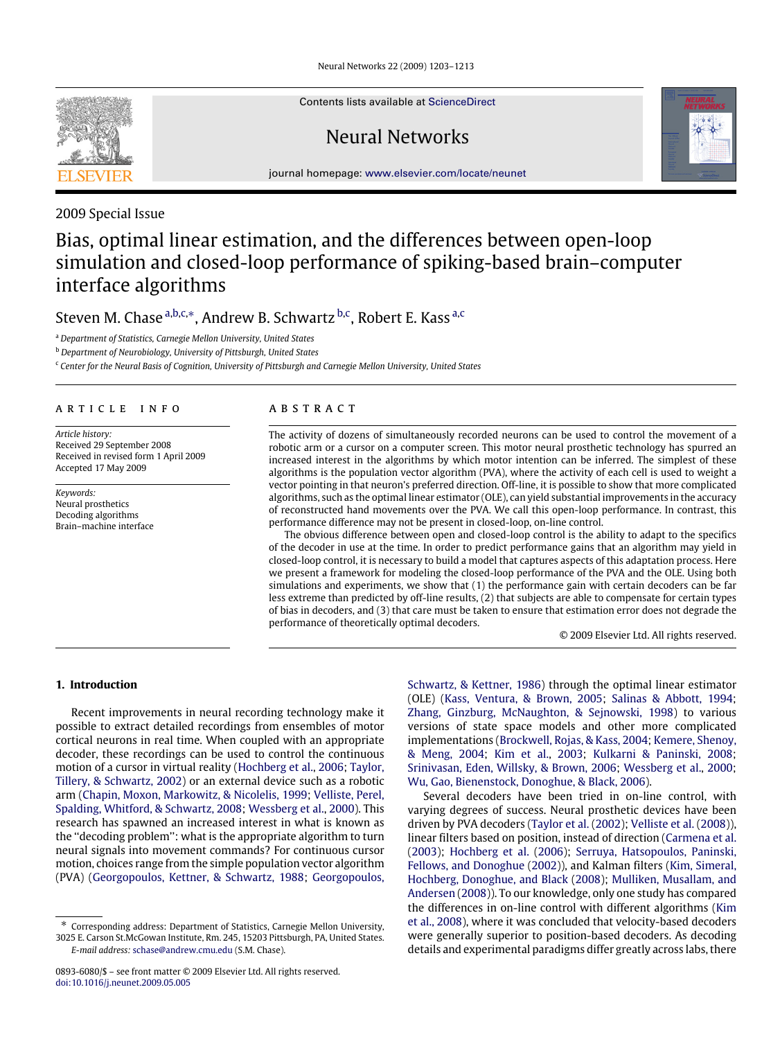Neural Networks 22 (2009) 1203–1213



Contents lists available at [ScienceDirect](http://www.elsevier.com/locate/neunet)

## Neural Networks



journal homepage: [www.elsevier.com/locate/neunet](http://www.elsevier.com/locate/neunet)

## 2009 Special Issue

# Bias, optimal linear estimation, and the differences between open-loop simulation and closed-loop performance of spiking-based brain–computer interface algorithms

## Steven M. Chase <sup>[a,](#page-0-0)[b](#page-0-1)[,c,](#page-0-2)</sup>\*, Andrew B. Schwartz <sup>[b,](#page-0-1)[c](#page-0-2)</sup>, Robert E. K[a](#page-0-0)ss <sup>a[,c](#page-0-2)</sup>

<span id="page-0-0"></span><sup>a</sup> *Department of Statistics, Carnegie Mellon University, United States*

<span id="page-0-1"></span><sup>b</sup> *Department of Neurobiology, University of Pittsburgh, United States*

<span id="page-0-2"></span><sup>c</sup> *Center for the Neural Basis of Cognition, University of Pittsburgh and Carnegie Mellon University, United States*

### a r t i c l e i n f o

*Article history:* Received 29 September 2008 Received in revised form 1 April 2009 Accepted 17 May 2009

*Keywords:* Neural prosthetics Decoding algorithms Brain–machine interface

## a b s t r a c t

The activity of dozens of simultaneously recorded neurons can be used to control the movement of a robotic arm or a cursor on a computer screen. This motor neural prosthetic technology has spurred an increased interest in the algorithms by which motor intention can be inferred. The simplest of these algorithms is the population vector algorithm (PVA), where the activity of each cell is used to weight a vector pointing in that neuron's preferred direction. Off-line, it is possible to show that more complicated algorithms, such as the optimal linear estimator (OLE), can yield substantial improvements in the accuracy of reconstructed hand movements over the PVA. We call this open-loop performance. In contrast, this performance difference may not be present in closed-loop, on-line control.

The obvious difference between open and closed-loop control is the ability to adapt to the specifics of the decoder in use at the time. In order to predict performance gains that an algorithm may yield in closed-loop control, it is necessary to build a model that captures aspects of this adaptation process. Here we present a framework for modeling the closed-loop performance of the PVA and the OLE. Using both simulations and experiments, we show that (1) the performance gain with certain decoders can be far less extreme than predicted by off-line results, (2) that subjects are able to compensate for certain types of bias in decoders, and (3) that care must be taken to ensure that estimation error does not degrade the performance of theoretically optimal decoders.

© 2009 Elsevier Ltd. All rights reserved.

#### **1. Introduction**

Recent improvements in neural recording technology make it possible to extract detailed recordings from ensembles of motor cortical neurons in real time. When coupled with an appropriate decoder, these recordings can be used to control the continuous motion of a cursor in virtual reality [\(Hochberg](#page-9-0) [et al.,](#page-9-0) [2006;](#page-9-0) [Taylor,](#page-9-1) [Tillery,](#page-9-1) [&](#page-9-1) [Schwartz,](#page-9-1) [2002\)](#page-9-1) or an external device such as a robotic arm [\(Chapin,](#page-9-2) [Moxon,](#page-9-2) [Markowitz,](#page-9-2) [&](#page-9-2) [Nicolelis,](#page-9-2) [1999;](#page-9-2) [Velliste,](#page-10-0) [Perel,](#page-10-0) [Spalding,](#page-10-0) [Whitford,](#page-10-0) [&](#page-10-0) [Schwartz,](#page-10-0) [2008;](#page-10-0) [Wessberg](#page-10-1) [et al.,](#page-10-1) [2000\)](#page-10-1). This research has spawned an increased interest in what is known as the ''decoding problem'': what is the appropriate algorithm to turn neural signals into movement commands? For continuous cursor motion, choices range from the simple population vector algorithm (PVA) [\(Georgopoulos,](#page-9-3) [Kettner,](#page-9-3) [&](#page-9-3) [Schwartz,](#page-9-3) [1988;](#page-9-3) [Georgopoulos,](#page-9-4) [Schwartz,](#page-9-4) [&](#page-9-4) [Kettner,](#page-9-4) [1986\)](#page-9-4) through the optimal linear estimator (OLE) [\(Kass,](#page-9-5) [Ventura,](#page-9-5) [&](#page-9-5) [Brown,](#page-9-5) [2005;](#page-9-5) [Salinas](#page-9-6) [&](#page-9-6) [Abbott,](#page-9-6) [1994;](#page-9-6) [Zhang,](#page-10-2) [Ginzburg,](#page-10-2) [McNaughton,](#page-10-2) [&](#page-10-2) [Sejnowski,](#page-10-2) [1998\)](#page-10-2) to various versions of state space models and other more complicated implementations [\(Brockwell,](#page-9-7) [Rojas,](#page-9-7) [&](#page-9-7) [Kass,](#page-9-7) [2004;](#page-9-7) [Kemere,](#page-9-8) [Shenoy,](#page-9-8) [&](#page-9-8) [Meng,](#page-9-8) [2004;](#page-9-8) [Kim](#page-9-9) [et al.,](#page-9-9) [2003;](#page-9-9) [Kulkarni](#page-9-10) [&](#page-9-10) [Paninski,](#page-9-10) [2008;](#page-9-10) [Srinivasan,](#page-9-11) [Eden,](#page-9-11) [Willsky,](#page-9-11) [&](#page-9-11) [Brown,](#page-9-11) [2006;](#page-9-11) [Wessberg](#page-10-1) [et al.,](#page-10-1) [2000;](#page-10-1) [Wu,](#page-10-3) [Gao,](#page-10-3) [Bienenstock,](#page-10-3) [Donoghue,](#page-10-3) [&](#page-10-3) [Black,](#page-10-3) [2006\)](#page-10-3).

Several decoders have been tried in on-line control, with varying degrees of success. Neural prosthetic devices have been driven by PVA decoders [\(Taylor](#page-9-1) [et al.](#page-9-1) [\(2002\)](#page-9-1); [Velliste](#page-10-0) [et al.](#page-10-0) [\(2008\)](#page-10-0)), linear filters based on position, instead of direction [\(Carmena](#page-9-12) [et al.](#page-9-12) [\(2003\)](#page-9-12); [Hochberg](#page-9-0) [et al.](#page-9-0) [\(2006\)](#page-9-0); [Serruya,](#page-9-13) [Hatsopoulos,](#page-9-13) [Paninski,](#page-9-13) [Fellows,](#page-9-13) [and](#page-9-13) [Donoghue](#page-9-13) [\(2002\)](#page-9-13)), and Kalman filters [\(Kim,](#page-9-14) [Simeral,](#page-9-14) [Hochberg,](#page-9-14) [Donoghue,](#page-9-14) [and](#page-9-14) [Black](#page-9-14) [\(2008\)](#page-9-14); [Mulliken,](#page-9-15) [Musallam,](#page-9-15) [and](#page-9-15) [Andersen](#page-9-15) [\(2008\)](#page-9-15)). To our knowledge, only one study has compared the differences in on-line control with different algorithms [\(Kim](#page-9-14) [et al.,](#page-9-14) [2008\)](#page-9-14), where it was concluded that velocity-based decoders were generally superior to position-based decoders. As decoding details and experimental paradigms differ greatly across labs, there

<span id="page-0-3"></span>Corresponding address: Department of Statistics, Carnegie Mellon University, 3025 E. Carson St.McGowan Institute, Rm. 245, 15203 Pittsburgh, PA, United States. *E-mail address:* [schase@andrew.cmu.edu](mailto:schase@andrew.cmu.edu) (S.M. Chase).

<sup>0893-6080/\$ –</sup> see front matter © 2009 Elsevier Ltd. All rights reserved. [doi:10.1016/j.neunet.2009.05.005](http://dx.doi.org/10.1016/j.neunet.2009.05.005)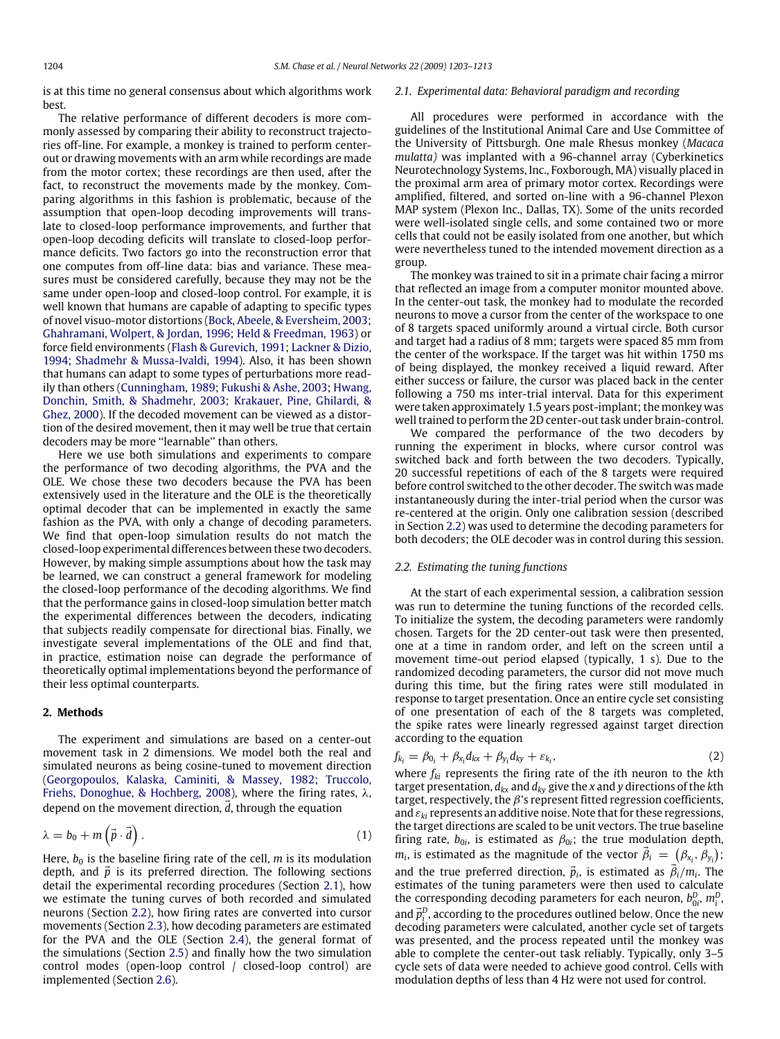1204 *S.M. Chase et al. / Neural Networks 22 (2009) 1203–1213*

is at this time no general consensus about which algorithms work best.

The relative performance of different decoders is more commonly assessed by comparing their ability to reconstruct trajectories off-line. For example, a monkey is trained to perform centerout or drawing movements with an arm while recordings are made from the motor cortex; these recordings are then used, after the fact, to reconstruct the movements made by the monkey. Comparing algorithms in this fashion is problematic, because of the assumption that open-loop decoding improvements will translate to closed-loop performance improvements, and further that open-loop decoding deficits will translate to closed-loop performance deficits. Two factors go into the reconstruction error that one computes from off-line data: bias and variance. These measures must be considered carefully, because they may not be the same under open-loop and closed-loop control. For example, it is well known that humans are capable of adapting to specific types of novel visuo-motor distortions [\(Bock,](#page-9-16) [Abeele,](#page-9-16) [&](#page-9-16) [Eversheim,](#page-9-16) [2003;](#page-9-16) [Ghahramani,](#page-9-17) [Wolpert,](#page-9-17) [&](#page-9-17) [Jordan,](#page-9-17) [1996;](#page-9-17) [Held](#page-9-18) [&](#page-9-18) [Freedman,](#page-9-18) [1963\)](#page-9-18) or force field environments [\(Flash](#page-9-19) [&](#page-9-19) [Gurevich,](#page-9-19) [1991;](#page-9-19) [Lackner](#page-9-20) [&](#page-9-20) [Dizio,](#page-9-20) [1994;](#page-9-20) [Shadmehr](#page-9-21) [&](#page-9-21) [Mussa-Ivaldi,](#page-9-21) [1994\)](#page-9-21). Also, it has been shown that humans can adapt to some types of perturbations more readily than others [\(Cunningham,](#page-9-22) [1989;](#page-9-22) [Fukushi](#page-9-23) [&](#page-9-23) [Ashe,](#page-9-23) [2003;](#page-9-23) [Hwang,](#page-9-24) [Donchin,](#page-9-24) [Smith,](#page-9-24) [&](#page-9-24) [Shadmehr,](#page-9-24) [2003;](#page-9-24) [Krakauer,](#page-9-25) [Pine,](#page-9-25) [Ghilardi,](#page-9-25) [&](#page-9-25) [Ghez,](#page-9-25) [2000\)](#page-9-25). If the decoded movement can be viewed as a distortion of the desired movement, then it may well be true that certain decoders may be more ''learnable'' than others.

Here we use both simulations and experiments to compare the performance of two decoding algorithms, the PVA and the OLE. We chose these two decoders because the PVA has been extensively used in the literature and the OLE is the theoretically optimal decoder that can be implemented in exactly the same fashion as the PVA, with only a change of decoding parameters. We find that open-loop simulation results do not match the closed-loop experimental differences between these two decoders. However, by making simple assumptions about how the task may be learned, we can construct a general framework for modeling the closed-loop performance of the decoding algorithms. We find that the performance gains in closed-loop simulation better match the experimental differences between the decoders, indicating that subjects readily compensate for directional bias. Finally, we investigate several implementations of the OLE and find that, in practice, estimation noise can degrade the performance of theoretically optimal implementations beyond the performance of their less optimal counterparts.

#### **2. Methods**

 $\lambda$ 

The experiment and simulations are based on a center-out movement task in 2 dimensions. We model both the real and simulated neurons as being cosine-tuned to movement direction [\(Georgopoulos,](#page-9-26) [Kalaska,](#page-9-26) [Caminiti,](#page-9-26) [&](#page-9-26) [Massey,](#page-9-26) [1982;](#page-9-26) [Truccolo,](#page-10-4) [Friehs,](#page-10-4) [Donoghue,](#page-10-4) [&](#page-10-4) [Hochberg,](#page-10-4) [2008\)](#page-10-4), where the firing rates,  $\lambda$ , depend on the movement direction,  $\overrightarrow{d}$ , through the equation

$$
\lambda = b_0 + m\left(\vec{p} \cdot \vec{d}\right). \tag{1}
$$

Here,  $b_0$  is the baseline firing rate of the cell,  $m$  is its modulation depth, and  $\vec{p}$  is its preferred direction. The following sections detail the experimental recording procedures (Section [2.1\)](#page-1-0), how we estimate the tuning curves of both recorded and simulated neurons (Section [2.2\)](#page-1-1), how firing rates are converted into cursor movements (Section [2.3\)](#page-2-0), how decoding parameters are estimated for the PVA and the OLE (Section [2.4\)](#page-2-1), the general format of the simulations (Section [2.5\)](#page-2-2) and finally how the two simulation control modes (open-loop control / closed-loop control) are implemented (Section [2.6\)](#page-3-0).

#### <span id="page-1-0"></span>*2.1. Experimental data: Behavioral paradigm and recording*

All procedures were performed in accordance with the guidelines of the Institutional Animal Care and Use Committee of the University of Pittsburgh. One male Rhesus monkey (*Macaca mulatta)* was implanted with a 96-channel array (Cyberkinetics Neurotechnology Systems, Inc., Foxborough, MA) visually placed in the proximal arm area of primary motor cortex. Recordings were amplified, filtered, and sorted on-line with a 96-channel Plexon MAP system (Plexon Inc., Dallas, TX). Some of the units recorded were well-isolated single cells, and some contained two or more cells that could not be easily isolated from one another, but which were nevertheless tuned to the intended movement direction as a group.

The monkey was trained to sit in a primate chair facing a mirror that reflected an image from a computer monitor mounted above. In the center-out task, the monkey had to modulate the recorded neurons to move a cursor from the center of the workspace to one of 8 targets spaced uniformly around a virtual circle. Both cursor and target had a radius of 8 mm; targets were spaced 85 mm from the center of the workspace. If the target was hit within 1750 ms of being displayed, the monkey received a liquid reward. After either success or failure, the cursor was placed back in the center following a 750 ms inter-trial interval. Data for this experiment were taken approximately 1.5 years post-implant; the monkey was well trained to perform the 2D center-out task under brain-control.

We compared the performance of the two decoders by running the experiment in blocks, where cursor control was switched back and forth between the two decoders. Typically, 20 successful repetitions of each of the 8 targets were required before control switched to the other decoder. The switch was made instantaneously during the inter-trial period when the cursor was re-centered at the origin. Only one calibration session (described in Section [2.2\)](#page-1-1) was used to determine the decoding parameters for both decoders; the OLE decoder was in control during this session.

#### <span id="page-1-1"></span>*2.2. Estimating the tuning functions*

At the start of each experimental session, a calibration session was run to determine the tuning functions of the recorded cells. To initialize the system, the decoding parameters were randomly chosen. Targets for the 2D center-out task were then presented, one at a time in random order, and left on the screen until a movement time-out period elapsed (typically, 1 s). Due to the randomized decoding parameters, the cursor did not move much during this time, but the firing rates were still modulated in response to target presentation. Once an entire cycle set consisting of one presentation of each of the 8 targets was completed, the spike rates were linearly regressed against target direction according to the equation

$$
f_{k_i} = \beta_{0_i} + \beta_{x_i} d_{kx} + \beta_{y_i} d_{ky} + \varepsilon_{k_i},
$$
\n(2)

<span id="page-1-3"></span><span id="page-1-2"></span>where *fki* represents the firing rate of the *i*th neuron to the *k*th target presentation, *dkx* and *dky* give the *x* and *y* directions of the *k*th target, respectively, the  $\beta$ 's represent fitted regression coefficients, and  $\varepsilon_{ki}$  represents an additive noise. Note that for these regressions, the target directions are scaled to be unit vectors. The true baseline firing rate,  $b_{0i}$ , is estimated as  $\beta_{0i}$ ; the true modulation depth, *m*<sub>*i*</sub>, is estimated as the magnitude of the vector  $\vec{\beta}_i = (\beta_{x_i}, \beta_{y_i})$ ; and the true preferred direction,  $\vec{p}_i$ , is estimated as  $\vec{\beta}_i/m_i$ . The estimates of the tuning parameters were then used to calculate the corresponding decoding parameters for each neuron,  $b_{0i}^D$ ,  $m_i^D$ , and  $\vec{p}_i^D$ , according to the procedures outlined below. Once the new decoding parameters were calculated, another cycle set of targets was presented, and the process repeated until the monkey was able to complete the center-out task reliably. Typically, only 3–5 cycle sets of data were needed to achieve good control. Cells with modulation depths of less than 4 Hz were not used for control.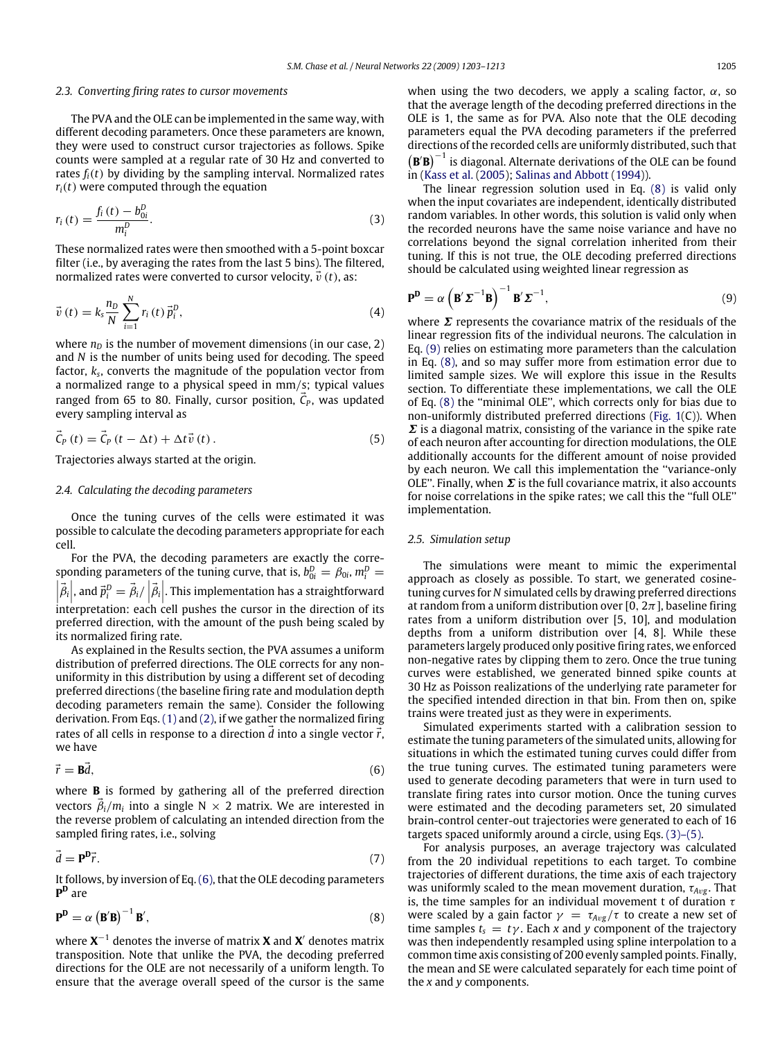#### <span id="page-2-0"></span>*2.3. Converting firing rates to cursor movements*

The PVA and the OLE can be implemented in the same way, with different decoding parameters. Once these parameters are known, they were used to construct cursor trajectories as follows. Spike counts were sampled at a regular rate of 30 Hz and converted to rates  $f_i(t)$  by dividing by the sampling interval. Normalized rates  $r_i(t)$  were computed through the equation

$$
r_i(t) = \frac{f_i(t) - b_{0i}^D}{m_i^D}.
$$
\n(3)

These normalized rates were then smoothed with a 5-point boxcar filter (i.e., by averaging the rates from the last 5 bins). The filtered, normalized rates were converted to cursor velocity,  $\vec{v}$  (*t*), as:

$$
\vec{v}(t) = k_s \frac{n_D}{N} \sum_{i=1}^{N} r_i(t) \vec{p}_i^D,
$$
\n(4)

where  $n<sub>D</sub>$  is the number of movement dimensions (in our case, 2) and *N* is the number of units being used for decoding. The speed factor, *k<sup>s</sup>* , converts the magnitude of the population vector from a normalized range to a physical speed in mm/s; typical values ranged from 65 to 80. Finally, cursor position,  $\vec{C}_P$ , was updated every sampling interval as

$$
\vec{C}_P(t) = \vec{C}_P(t - \Delta t) + \Delta t \vec{v}(t).
$$
\n(5)

Trajectories always started at the origin.

#### <span id="page-2-1"></span>*2.4. Calculating the decoding parameters*

Once the tuning curves of the cells were estimated it was possible to calculate the decoding parameters appropriate for each cell.

For the PVA, the decoding parameters are exactly the corresponding parameters of the tuning curve, that is,  $b_{0i}^D = \beta_{0i}$ ,  $m_i^D = |\vec{a}|$  and  $\vec{b}^D = \vec{a}$ ,  $/|\vec{a}|$  This implementation has a straightforward  $\left|\vec{\beta}_i\right|$ , and  $\vec{p}_i^D = \vec{\beta}_i / \left|\vec{\beta}_i\right|$ . This implementation has a straightforward interpretation: each cell pushes the cursor in the direction of its preferred direction, with the amount of the push being scaled by its normalized firing rate.

As explained in the Results section, the PVA assumes a uniform distribution of preferred directions. The OLE corrects for any nonuniformity in this distribution by using a different set of decoding preferred directions (the baseline firing rate and modulation depth decoding parameters remain the same). Consider the following derivation. From Eqs. [\(1\)](#page-1-2) and [\(2\),](#page-1-3) if we gather the normalized firing rates of all cells in response to a direction  $d$  into a single vector  $\vec{r}$ , we have

$$
\vec{r} = \mathbf{B}\vec{d},\tag{6}
$$

where **B** is formed by gathering all of the preferred direction vectors  $\vec{\beta}_i/m_i$  into a single N  $\times$  2 matrix. We are interested in the reverse problem of calculating an intended direction from the sampled firing rates, i.e., solving

$$
\vec{d} = \mathbf{P}^{\mathbf{D}} \vec{r}.\tag{7}
$$

It follows, by inversion of Eq. [\(6\),](#page-2-3) that the OLE decoding parameters  $\mathbf{P}^{\mathbf{D}}$  are

$$
\mathbf{P}^{\mathbf{D}} = \alpha \left( \mathbf{B}' \mathbf{B} \right)^{-1} \mathbf{B}',\tag{8}
$$

where **X** −1 denotes the inverse of matrix **X** and **X** 0 denotes matrix transposition. Note that unlike the PVA, the decoding preferred directions for the OLE are not necessarily of a uniform length. To ensure that the average overall speed of the cursor is the same when using the two decoders, we apply a scaling factor,  $\alpha$ , so that the average length of the decoding preferred directions in the OLE is 1, the same as for PVA. Also note that the OLE decoding parameters equal the PVA decoding parameters if the preferred directions of the recorded cells are uniformly distributed, such that

 $(B'B)^{-1}$  is diagonal. Alternate derivations of the OLE can be found in [\(Kass](#page-9-5) [et al.](#page-9-5) [\(2005\)](#page-9-5); [Salinas](#page-9-6) [and](#page-9-6) [Abbott](#page-9-6) [\(1994\)](#page-9-6)).

<span id="page-2-6"></span>The linear regression solution used in Eq. [\(8\)](#page-2-4) is valid only when the input covariates are independent, identically distributed random variables. In other words, this solution is valid only when the recorded neurons have the same noise variance and have no correlations beyond the signal correlation inherited from their tuning. If this is not true, the OLE decoding preferred directions should be calculated using weighted linear regression as

<span id="page-2-7"></span><span id="page-2-5"></span>
$$
\mathbf{P}^{\mathbf{D}} = \alpha \left( \mathbf{B}' \boldsymbol{\Sigma}^{-1} \mathbf{B} \right)^{-1} \mathbf{B}' \boldsymbol{\Sigma}^{-1}, \tag{9}
$$

where  $\Sigma$  represents the covariance matrix of the residuals of the linear regression fits of the individual neurons. The calculation in Eq. [\(9\)](#page-2-5) relies on estimating more parameters than the calculation in Eq. [\(8\),](#page-2-4) and so may suffer more from estimation error due to limited sample sizes. We will explore this issue in the Results section. To differentiate these implementations, we call the OLE of Eq. [\(8\)](#page-2-4) the ''minimal OLE'', which corrects only for bias due to non-uniformly distributed preferred directions [\(Fig. 1\(](#page-3-1)C)). When  $\Sigma$  is a diagonal matrix, consisting of the variance in the spike rate of each neuron after accounting for direction modulations, the OLE additionally accounts for the different amount of noise provided by each neuron. We call this implementation the ''variance-only OLE". Finally, when  $\Sigma$  is the full covariance matrix, it also accounts for noise correlations in the spike rates; we call this the ''full OLE'' implementation.

#### <span id="page-2-2"></span>*2.5. Simulation setup*

The simulations were meant to mimic the experimental approach as closely as possible. To start, we generated cosinetuning curves for *N* simulated cells by drawing preferred directions at random from a uniform distribution over [0,  $2\pi$ ], baseline firing rates from a uniform distribution over [5, 10], and modulation depths from a uniform distribution over [4, 8]. While these parameters largely produced only positive firing rates, we enforced non-negative rates by clipping them to zero. Once the true tuning curves were established, we generated binned spike counts at 30 Hz as Poisson realizations of the underlying rate parameter for the specified intended direction in that bin. From then on, spike trains were treated just as they were in experiments.

<span id="page-2-3"></span>Simulated experiments started with a calibration session to estimate the tuning parameters of the simulated units, allowing for situations in which the estimated tuning curves could differ from the true tuning curves. The estimated tuning parameters were used to generate decoding parameters that were in turn used to translate firing rates into cursor motion. Once the tuning curves were estimated and the decoding parameters set, 20 simulated brain-control center-out trajectories were generated to each of 16 targets spaced uniformly around a circle, using Eqs. [\(3\)–\(5\).](#page-2-6)

<span id="page-2-4"></span>For analysis purposes, an average trajectory was calculated from the 20 individual repetitions to each target. To combine trajectories of different durations, the time axis of each trajectory was uniformly scaled to the mean movement duration, τ*A*v*<sup>g</sup>* . That is, the time samples for an individual movement t of duration  $\tau$ were scaled by a gain factor  $\gamma = \tau_{Avg}/\tau$  to create a new set of time samples  $t_s = t\gamma$ . Each *x* and *y* component of the trajectory was then independently resampled using spline interpolation to a common time axis consisting of 200 evenly sampled points. Finally, the mean and SE were calculated separately for each time point of the *x* and *y* components.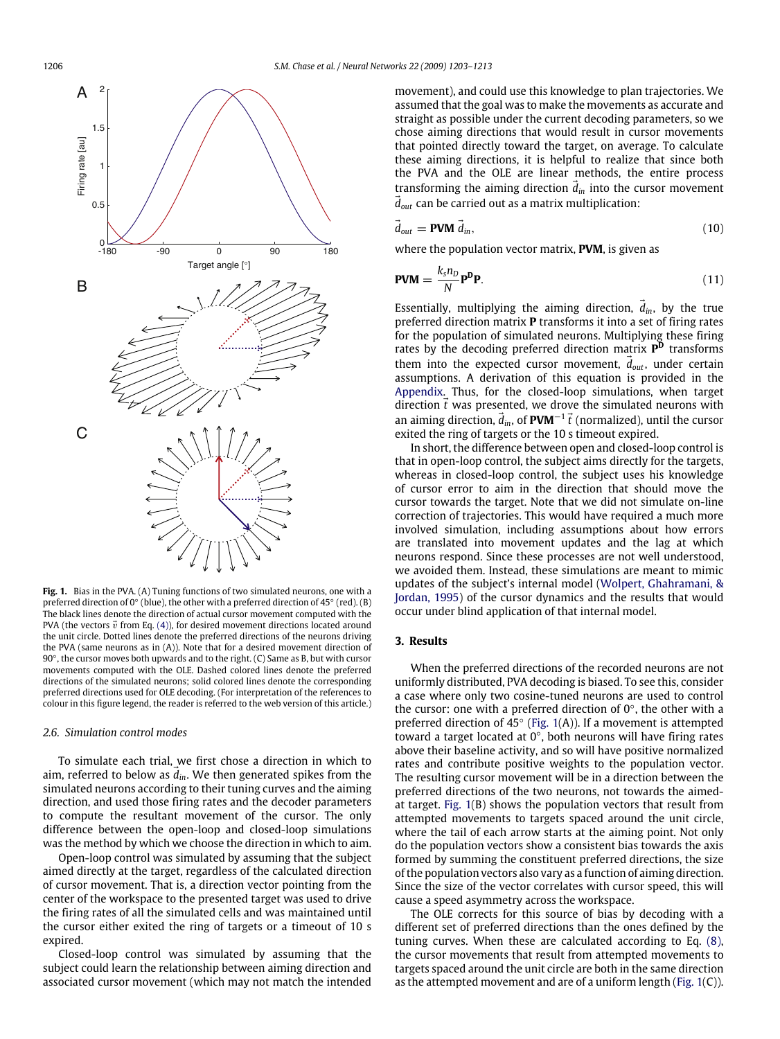<span id="page-3-1"></span>

**Fig. 1.** Bias in the PVA. (A) Tuning functions of two simulated neurons, one with a preferred direction of 0° (blue), the other with a preferred direction of 45° (red). (B) The black lines denote the direction of actual cursor movement computed with the PVA (the vectors  $\vec{v}$  from Eq. [\(4\)\)](#page-2-7), for desired movement directions located around the unit circle. Dotted lines denote the preferred directions of the neurons driving the PVA (same neurons as in (A)). Note that for a desired movement direction of 90°, the cursor moves both upwards and to the right. (C) Same as B, but with cursor movements computed with the OLE. Dashed colored lines denote the preferred directions of the simulated neurons; solid colored lines denote the corresponding preferred directions used for OLE decoding. (For interpretation of the references to colour in this figure legend, the reader is referred to the web version of this article.)

#### <span id="page-3-0"></span>*2.6. Simulation control modes*

To simulate each trial, we first chose a direction in which to aim, referred to below as  $\overline{\vec{d}}_{in}.$  We then generated spikes from the simulated neurons according to their tuning curves and the aiming direction, and used those firing rates and the decoder parameters to compute the resultant movement of the cursor. The only difference between the open-loop and closed-loop simulations was the method by which we choose the direction in which to aim.

Open-loop control was simulated by assuming that the subject aimed directly at the target, regardless of the calculated direction of cursor movement. That is, a direction vector pointing from the center of the workspace to the presented target was used to drive the firing rates of all the simulated cells and was maintained until the cursor either exited the ring of targets or a timeout of 10 s expired.

Closed-loop control was simulated by assuming that the subject could learn the relationship between aiming direction and associated cursor movement (which may not match the intended movement), and could use this knowledge to plan trajectories. We assumed that the goal was to make the movements as accurate and straight as possible under the current decoding parameters, so we chose aiming directions that would result in cursor movements that pointed directly toward the target, on average. To calculate these aiming directions, it is helpful to realize that since both the PVA and the OLE are linear methods, the entire process transforming the aiming direction  $\vec{d}_{in}$  into the cursor movement  $\vec{d}_{out}$  can be carried out as a matrix multiplication:

<span id="page-3-3"></span>
$$
\vec{d}_{out} = \text{PVM} \ \vec{d}_{in},\tag{10}
$$

where the population vector matrix, **PVM**, is given as

<span id="page-3-2"></span>
$$
PVM = \frac{k_s n_D}{N} P^D P. \tag{11}
$$

Essentially, multiplying the aiming direction,  $\vec{d}_{in}$ , by the true preferred direction matrix **P** transforms it into a set of firing rates for the population of simulated neurons. Multiplying these firing rates by the decoding preferred direction matrix **P**<sup>D</sup> transforms them into the expected cursor movement,  $\vec{d}_{out}$ , under certain assumptions. A derivation of this equation is provided in the [Appendix.](#page-9-27) Thus, for the closed-loop simulations, when target direction  $\vec{t}$  was presented, we drove the simulated neurons with an aiming direction,  $\vec{d}_{in}$ , of **PVM**<sup>-1</sup>  $\vec{t}$  (normalized), until the cursor exited the ring of targets or the 10 s timeout expired.

In short, the difference between open and closed-loop control is that in open-loop control, the subject aims directly for the targets, whereas in closed-loop control, the subject uses his knowledge of cursor error to aim in the direction that should move the cursor towards the target. Note that we did not simulate on-line correction of trajectories. This would have required a much more involved simulation, including assumptions about how errors are translated into movement updates and the lag at which neurons respond. Since these processes are not well understood, we avoided them. Instead, these simulations are meant to mimic updates of the subject's internal model [\(Wolpert,](#page-10-5) [Ghahramani,](#page-10-5) [&](#page-10-5) [Jordan,](#page-10-5) [1995\)](#page-10-5) of the cursor dynamics and the results that would occur under blind application of that internal model.

## **3. Results**

When the preferred directions of the recorded neurons are not uniformly distributed, PVA decoding is biased. To see this, consider a case where only two cosine-tuned neurons are used to control the cursor: one with a preferred direction of  $0^\circ$ , the other with a preferred direction of 45° [\(Fig. 1\(](#page-3-1)A)). If a movement is attempted toward a target located at 0°, both neurons will have firing rates above their baseline activity, and so will have positive normalized rates and contribute positive weights to the population vector. The resulting cursor movement will be in a direction between the preferred directions of the two neurons, not towards the aimedat target. [Fig. 1\(](#page-3-1)B) shows the population vectors that result from attempted movements to targets spaced around the unit circle, where the tail of each arrow starts at the aiming point. Not only do the population vectors show a consistent bias towards the axis formed by summing the constituent preferred directions, the size of the population vectors also vary as a function of aiming direction. Since the size of the vector correlates with cursor speed, this will cause a speed asymmetry across the workspace.

The OLE corrects for this source of bias by decoding with a different set of preferred directions than the ones defined by the tuning curves. When these are calculated according to Eq. [\(8\),](#page-2-4) the cursor movements that result from attempted movements to targets spaced around the unit circle are both in the same direction as the attempted movement and are of a uniform length [\(Fig. 1\(](#page-3-1)C)).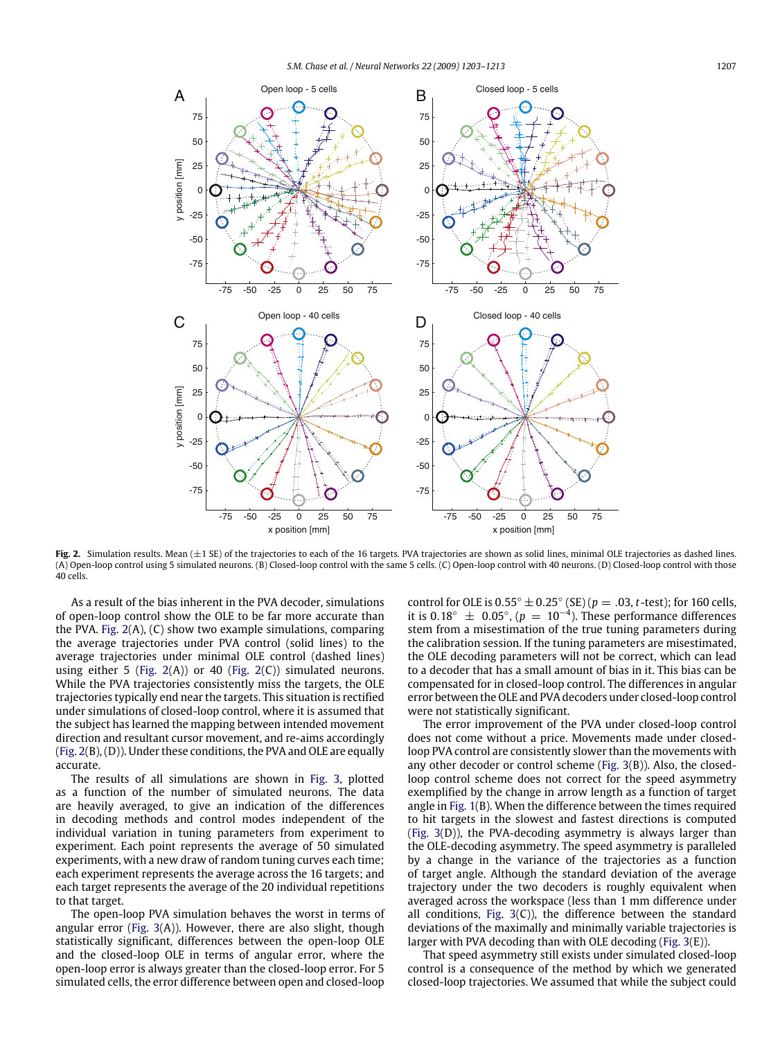<span id="page-4-0"></span>

Fig. 2. Simulation results. Mean (±1 SE) of the trajectories to each of the 16 targets. PVA trajectories are shown as solid lines, minimal OLE trajectories as dashed lines. (A) Open-loop control using 5 simulated neurons. (B) Closed-loop control with the same 5 cells. (C) Open-loop control with 40 neurons. (D) Closed-loop control with those 40 cells.

As a result of the bias inherent in the PVA decoder, simulations of open-loop control show the OLE to be far more accurate than the PVA. [Fig. 2\(](#page-4-0)A), (C) show two example simulations, comparing the average trajectories under PVA control (solid lines) to the average trajectories under minimal OLE control (dashed lines) using either 5 (Fig.  $2(A)$ ) or 40 (Fig.  $2(C)$ ) simulated neurons. While the PVA trajectories consistently miss the targets, the OLE trajectories typically end near the targets. This situation is rectified under simulations of closed-loop control, where it is assumed that the subject has learned the mapping between intended movement direction and resultant cursor movement, and re-aims accordingly [\(Fig. 2\(](#page-4-0)B), (D)). Under these conditions, the PVA and OLE are equally accurate.

The results of all simulations are shown in [Fig. 3,](#page-5-0) plotted as a function of the number of simulated neurons. The data are heavily averaged, to give an indication of the differences in decoding methods and control modes independent of the individual variation in tuning parameters from experiment to experiment. Each point represents the average of 50 simulated experiments, with a new draw of random tuning curves each time; each experiment represents the average across the 16 targets; and each target represents the average of the 20 individual repetitions to that target.

The open-loop PVA simulation behaves the worst in terms of angular error [\(Fig. 3\(](#page-5-0)A)). However, there are also slight, though statistically significant, differences between the open-loop OLE and the closed-loop OLE in terms of angular error, where the open-loop error is always greater than the closed-loop error. For 5 simulated cells, the error difference between open and closed-loop

control for OLE is  $0.55^{\circ} \pm 0.25^{\circ}$  (SE) ( $p = .03$ , *t*-test); for 160 cells, it is 0.18°  $\pm$  0.05°, ( $p = 10^{-4}$ ). These performance differences stem from a misestimation of the true tuning parameters during the calibration session. If the tuning parameters are misestimated, the OLE decoding parameters will not be correct, which can lead to a decoder that has a small amount of bias in it. This bias can be compensated for in closed-loop control. The differences in angular error between the OLE and PVA decoders under closed-loop control were not statistically significant.

The error improvement of the PVA under closed-loop control does not come without a price. Movements made under closedloop PVA control are consistently slower than the movements with any other decoder or control scheme [\(Fig. 3\(](#page-5-0)B)). Also, the closedloop control scheme does not correct for the speed asymmetry exemplified by the change in arrow length as a function of target angle in [Fig. 1\(](#page-3-1)B). When the difference between the times required to hit targets in the slowest and fastest directions is computed [\(Fig. 3\(](#page-5-0)D)), the PVA-decoding asymmetry is always larger than the OLE-decoding asymmetry. The speed asymmetry is paralleled by a change in the variance of the trajectories as a function of target angle. Although the standard deviation of the average trajectory under the two decoders is roughly equivalent when averaged across the workspace (less than 1 mm difference under all conditions, Fig.  $3(C)$ ), the difference between the standard deviations of the maximally and minimally variable trajectories is larger with PVA decoding than with OLE decoding [\(Fig. 3\(](#page-5-0)E)).

That speed asymmetry still exists under simulated closed-loop control is a consequence of the method by which we generated closed-loop trajectories. We assumed that while the subject could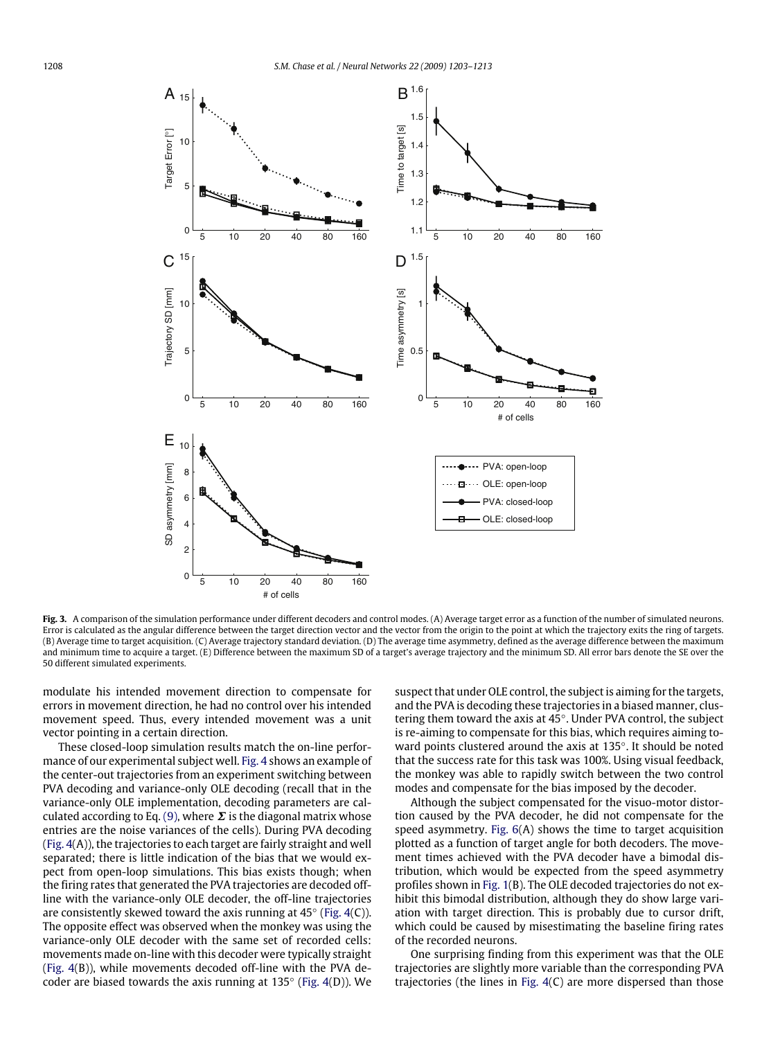<span id="page-5-0"></span>

Fig. 3. A comparison of the simulation performance under different decoders and control modes. (A) Average target error as a function of the number of simulated neurons. Error is calculated as the angular difference between the target direction vector and the vector from the origin to the point at which the trajectory exits the ring of targets. (B) Average time to target acquisition. (C) Average trajectory standard deviation. (D) The average time asymmetry, defined as the average difference between the maximum and minimum time to acquire a target. (E) Difference between the maximum SD of a target's average trajectory and the minimum SD. All error bars denote the SE over the 50 different simulated experiments.

modulate his intended movement direction to compensate for errors in movement direction, he had no control over his intended movement speed. Thus, every intended movement was a unit vector pointing in a certain direction.

These closed-loop simulation results match the on-line performance of our experimental subject well. [Fig. 4](#page-6-0) shows an example of the center-out trajectories from an experiment switching between PVA decoding and variance-only OLE decoding (recall that in the variance-only OLE implementation, decoding parameters are cal-culated according to Eq. [\(9\),](#page-2-5) where  $\Sigma$  is the diagonal matrix whose entries are the noise variances of the cells). During PVA decoding [\(Fig. 4\(](#page-6-0)A)), the trajectories to each target are fairly straight and well separated; there is little indication of the bias that we would expect from open-loop simulations. This bias exists though; when the firing rates that generated the PVA trajectories are decoded offline with the variance-only OLE decoder, the off-line trajectories are consistently skewed toward the axis running at 45 $^{\circ}$  [\(Fig. 4\(](#page-6-0)C)). The opposite effect was observed when the monkey was using the variance-only OLE decoder with the same set of recorded cells: movements made on-line with this decoder were typically straight [\(Fig. 4\(](#page-6-0)B)), while movements decoded off-line with the PVA decoder are biased towards the axis running at 135◦ [\(Fig. 4\(](#page-6-0)D)). We

suspect that under OLE control, the subject is aiming for the targets, and the PVA is decoding these trajectories in a biased manner, clustering them toward the axis at 45◦ . Under PVA control, the subject is re-aiming to compensate for this bias, which requires aiming toward points clustered around the axis at 135°. It should be noted that the success rate for this task was 100%. Using visual feedback, the monkey was able to rapidly switch between the two control modes and compensate for the bias imposed by the decoder.

Although the subject compensated for the visuo-motor distortion caused by the PVA decoder, he did not compensate for the speed asymmetry. [Fig. 6\(](#page-7-0)A) shows the time to target acquisition plotted as a function of target angle for both decoders. The movement times achieved with the PVA decoder have a bimodal distribution, which would be expected from the speed asymmetry profiles shown in [Fig. 1\(](#page-3-1)B). The OLE decoded trajectories do not exhibit this bimodal distribution, although they do show large variation with target direction. This is probably due to cursor drift, which could be caused by misestimating the baseline firing rates of the recorded neurons.

One surprising finding from this experiment was that the OLE trajectories are slightly more variable than the corresponding PVA trajectories (the lines in [Fig. 4\(](#page-6-0)C) are more dispersed than those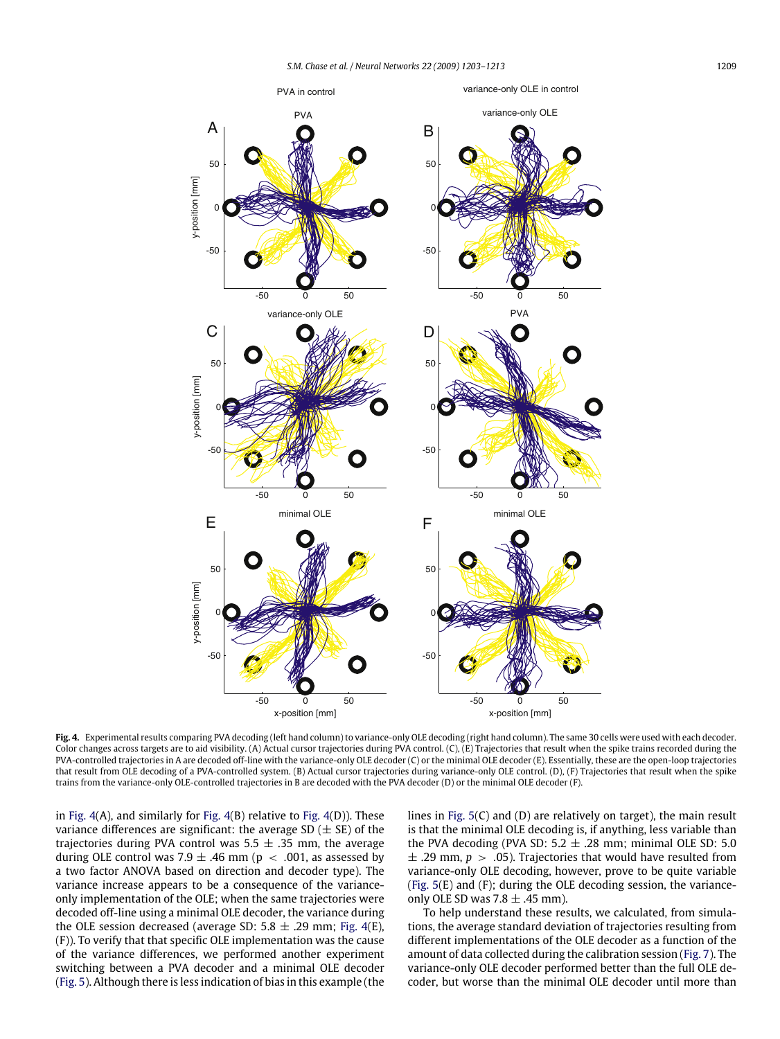<span id="page-6-0"></span>

**Fig. 4.** Experimental results comparing PVA decoding (left hand column) to variance-only OLE decoding (right hand column). The same 30 cells were used with each decoder. Color changes across targets are to aid visibility. (A) Actual cursor trajectories during PVA control. (C), (E) Trajectories that result when the spike trains recorded during the PVA-controlled trajectories in A are decoded off-line with the variance-only OLE decoder (C) or the minimal OLE decoder (E). Essentially, these are the open-loop trajectories that result from OLE decoding of a PVA-controlled system. (B) Actual cursor trajectories during variance-only OLE control. (D), (F) Trajectories that result when the spike trains from the variance-only OLE-controlled trajectories in B are decoded with the PVA decoder (D) or the minimal OLE decoder (F).

in [Fig. 4\(](#page-6-0)A), and similarly for [Fig. 4\(](#page-6-0)B) relative to [Fig. 4\(](#page-6-0)D)). These variance differences are significant: the average SD  $(\pm$  SE) of the trajectories during PVA control was  $5.5 \pm .35$  mm, the average during OLE control was 7.9  $\pm$  .46 mm (p  $\lt$  .001, as assessed by a two factor ANOVA based on direction and decoder type). The variance increase appears to be a consequence of the varianceonly implementation of the OLE; when the same trajectories were decoded off-line using a minimal OLE decoder, the variance during the OLE session decreased (average SD:  $5.8 \pm .29$  mm; [Fig. 4\(](#page-6-0)E), (F)). To verify that that specific OLE implementation was the cause of the variance differences, we performed another experiment switching between a PVA decoder and a minimal OLE decoder [\(Fig. 5\)](#page-7-1). Although there is less indication of bias in this example (the lines in [Fig. 5\(](#page-7-1)C) and (D) are relatively on target), the main result is that the minimal OLE decoding is, if anything, less variable than the PVA decoding (PVA SD:  $5.2 \pm .28$  mm; minimal OLE SD:  $5.0$  $\pm$  .29 mm,  $p > .05$ ). Trajectories that would have resulted from variance-only OLE decoding, however, prove to be quite variable [\(Fig. 5\(](#page-7-1)E) and (F); during the OLE decoding session, the varianceonly OLE SD was  $7.8 \pm .45$  mm).

To help understand these results, we calculated, from simulations, the average standard deviation of trajectories resulting from different implementations of the OLE decoder as a function of the amount of data collected during the calibration session [\(Fig. 7\)](#page-8-0). The variance-only OLE decoder performed better than the full OLE decoder, but worse than the minimal OLE decoder until more than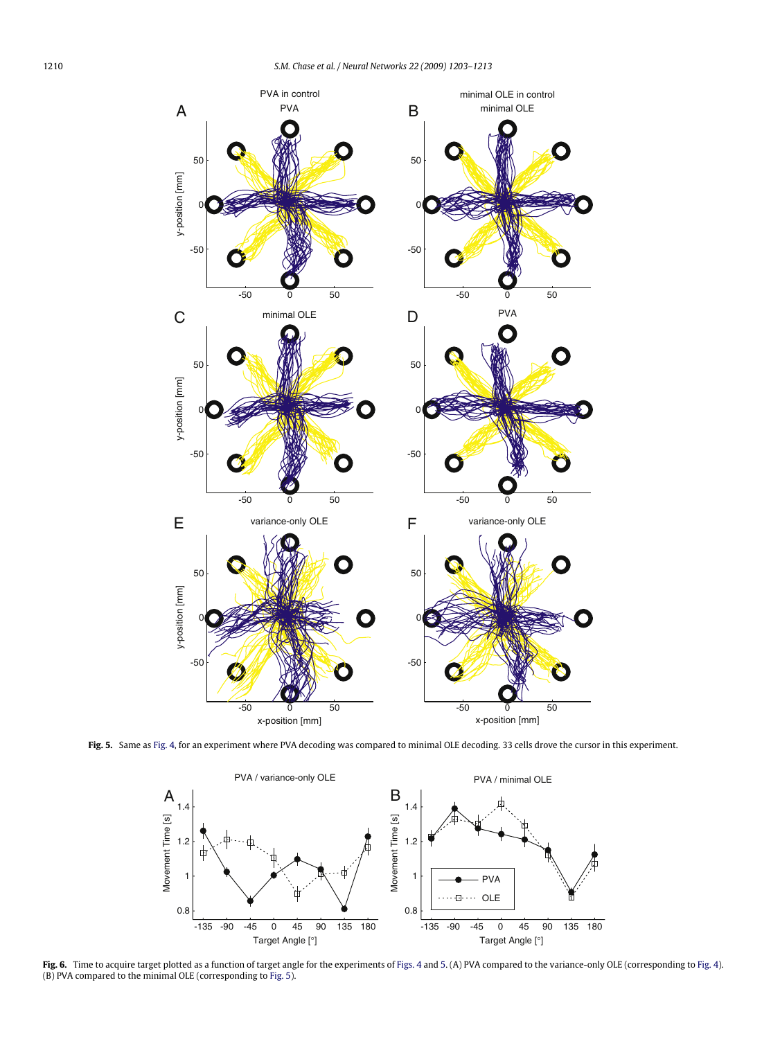<span id="page-7-1"></span>

<span id="page-7-0"></span>**Fig. 5.** Same as [Fig. 4,](#page-6-0) for an experiment where PVA decoding was compared to minimal OLE decoding. 33 cells drove the cursor in this experiment.



**Fig. 6.** Time to acquire target plotted as a function of target angle for the experiments of [Figs. 4](#page-6-0) and [5.](#page-7-1) (A) PVA compared to the variance-only OLE (corresponding to [Fig. 4\)](#page-6-0). (B) PVA compared to the minimal OLE (corresponding to [Fig. 5\)](#page-7-1).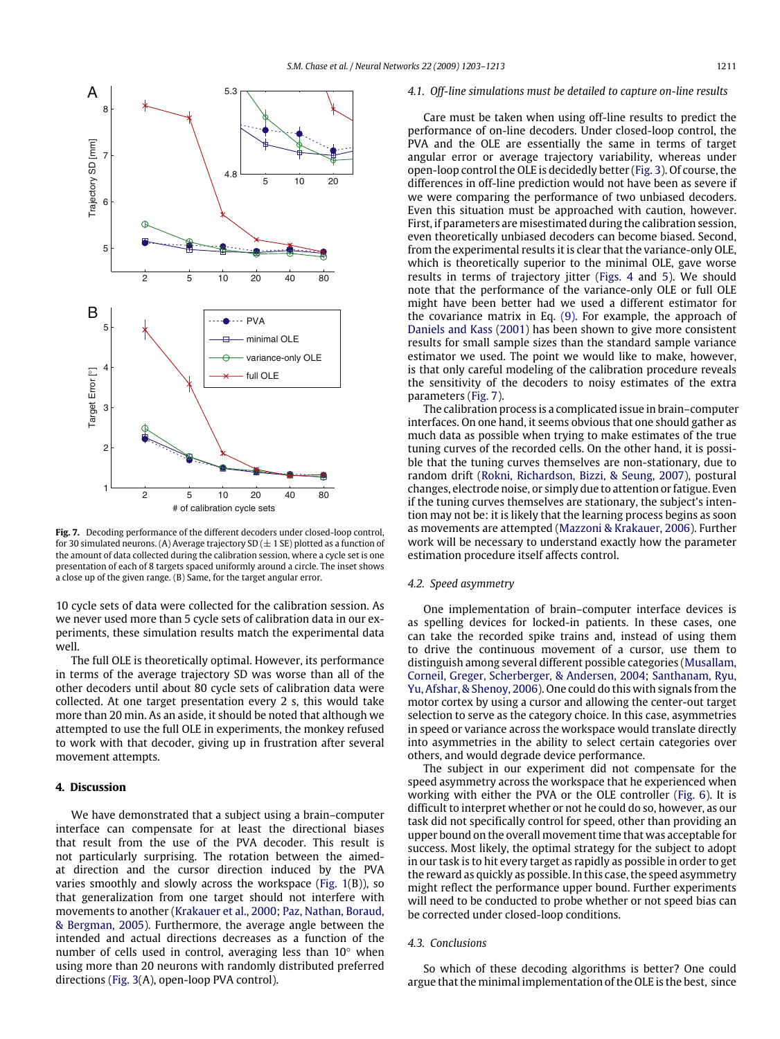<span id="page-8-0"></span>

**Fig. 7.** Decoding performance of the different decoders under closed-loop control, for 30 simulated neurons. (A) Average trajectory SD ( $\pm$  1 SE) plotted as a function of the amount of data collected during the calibration session, where a cycle set is one presentation of each of 8 targets spaced uniformly around a circle. The inset shows a close up of the given range. (B) Same, for the target angular error.

10 cycle sets of data were collected for the calibration session. As we never used more than 5 cycle sets of calibration data in our experiments, these simulation results match the experimental data well.

The full OLE is theoretically optimal. However, its performance in terms of the average trajectory SD was worse than all of the other decoders until about 80 cycle sets of calibration data were collected. At one target presentation every 2 s, this would take more than 20 min. As an aside, it should be noted that although we attempted to use the full OLE in experiments, the monkey refused to work with that decoder, giving up in frustration after several movement attempts.

## **4. Discussion**

We have demonstrated that a subject using a brain–computer interface can compensate for at least the directional biases that result from the use of the PVA decoder. This result is not particularly surprising. The rotation between the aimedat direction and the cursor direction induced by the PVA varies smoothly and slowly across the workspace [\(Fig. 1\(](#page-3-1)B)), so that generalization from one target should not interfere with movements to another [\(Krakauer](#page-9-25) [et al.,](#page-9-25) [2000;](#page-9-25) [Paz,](#page-9-28) [Nathan,](#page-9-28) [Boraud,](#page-9-28) [&](#page-9-28) [Bergman,](#page-9-28) [2005\)](#page-9-28). Furthermore, the average angle between the intended and actual directions decreases as a function of the number of cells used in control, averaging less than 10<sup>°</sup> when using more than 20 neurons with randomly distributed preferred directions [\(Fig. 3\(](#page-5-0)A), open-loop PVA control).

#### *4.1. Off-line simulations must be detailed to capture on-line results*

Care must be taken when using off-line results to predict the performance of on-line decoders. Under closed-loop control, the PVA and the OLE are essentially the same in terms of target angular error or average trajectory variability, whereas under open-loop control the OLE is decidedly better [\(Fig. 3\)](#page-5-0). Of course, the differences in off-line prediction would not have been as severe if we were comparing the performance of two unbiased decoders. Even this situation must be approached with caution, however. First, if parameters are misestimated during the calibration session, even theoretically unbiased decoders can become biased. Second, from the experimental results it is clear that the variance-only OLE, which is theoretically superior to the minimal OLE, gave worse results in terms of trajectory jitter [\(Figs. 4](#page-6-0) and [5\)](#page-7-1). We should note that the performance of the variance-only OLE or full OLE might have been better had we used a different estimator for the covariance matrix in Eq. [\(9\).](#page-2-5) For example, the approach of [Daniels](#page-9-29) [and](#page-9-29) [Kass](#page-9-29) [\(2001\)](#page-9-29) has been shown to give more consistent results for small sample sizes than the standard sample variance estimator we used. The point we would like to make, however, is that only careful modeling of the calibration procedure reveals the sensitivity of the decoders to noisy estimates of the extra parameters [\(Fig. 7\)](#page-8-0).

The calibration process is a complicated issue in brain–computer interfaces. On one hand, it seems obvious that one should gather as much data as possible when trying to make estimates of the true tuning curves of the recorded cells. On the other hand, it is possible that the tuning curves themselves are non-stationary, due to random drift [\(Rokni,](#page-9-30) [Richardson,](#page-9-30) [Bizzi,](#page-9-30) [&](#page-9-30) [Seung,](#page-9-30) [2007\)](#page-9-30), postural changes, electrode noise, or simply due to attention or fatigue. Even if the tuning curves themselves are stationary, the subject's intention may not be: it is likely that the learning process begins as soon as movements are attempted [\(Mazzoni](#page-9-31) [&](#page-9-31) [Krakauer,](#page-9-31) [2006\)](#page-9-31). Further work will be necessary to understand exactly how the parameter estimation procedure itself affects control.

#### *4.2. Speed asymmetry*

One implementation of brain–computer interface devices is as spelling devices for locked-in patients. In these cases, one can take the recorded spike trains and, instead of using them to drive the continuous movement of a cursor, use them to distinguish among several different possible categories [\(Musallam,](#page-9-32) [Corneil,](#page-9-32) [Greger,](#page-9-32) [Scherberger,](#page-9-32) [&](#page-9-32) [Andersen,](#page-9-32) [2004;](#page-9-32) [Santhanam,](#page-9-33) [Ryu,](#page-9-33) [Yu,](#page-9-33) [Afshar,](#page-9-33) [&](#page-9-33) [Shenoy,](#page-9-33) [2006\)](#page-9-33). One could do this with signals from the motor cortex by using a cursor and allowing the center-out target selection to serve as the category choice. In this case, asymmetries in speed or variance across the workspace would translate directly into asymmetries in the ability to select certain categories over others, and would degrade device performance.

The subject in our experiment did not compensate for the speed asymmetry across the workspace that he experienced when working with either the PVA or the OLE controller [\(Fig. 6\)](#page-7-0). It is difficult to interpret whether or not he could do so, however, as our task did not specifically control for speed, other than providing an upper bound on the overall movement time that was acceptable for success. Most likely, the optimal strategy for the subject to adopt in our task is to hit every target as rapidly as possible in order to get the reward as quickly as possible. In this case, the speed asymmetry might reflect the performance upper bound. Further experiments will need to be conducted to probe whether or not speed bias can be corrected under closed-loop conditions.

### *4.3. Conclusions*

So which of these decoding algorithms is better? One could argue that the minimal implementation of the OLE is the best, since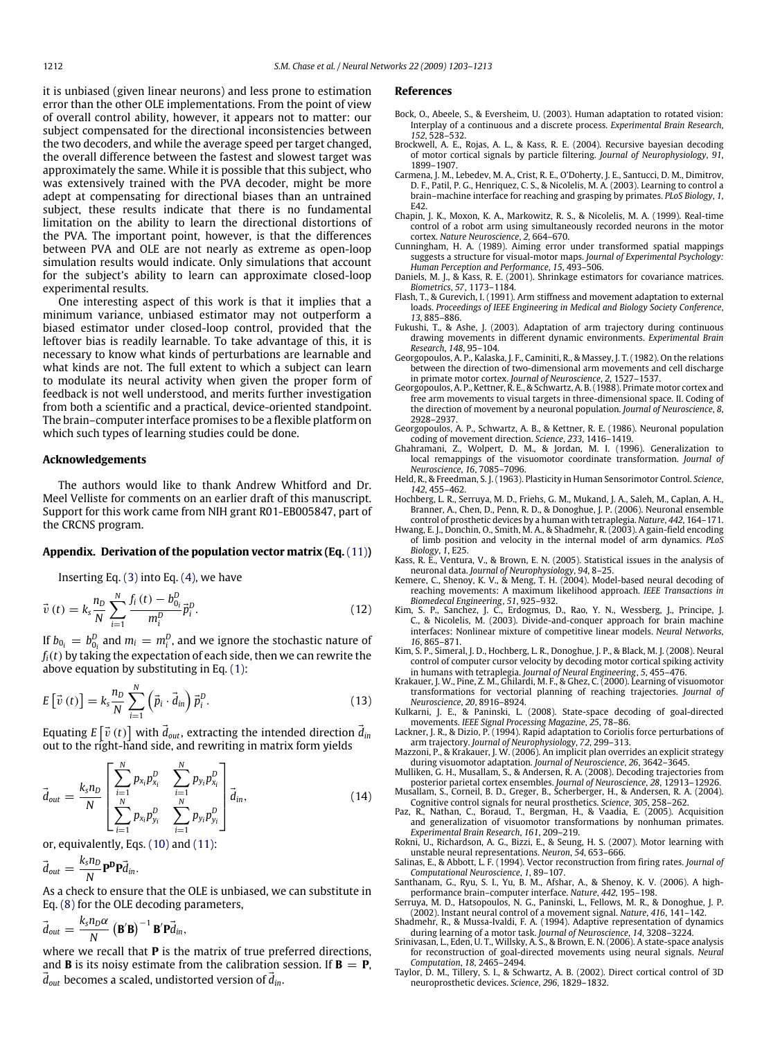it is unbiased (given linear neurons) and less prone to estimation error than the other OLE implementations. From the point of view of overall control ability, however, it appears not to matter: our subject compensated for the directional inconsistencies between the two decoders, and while the average speed per target changed, the overall difference between the fastest and slowest target was approximately the same. While it is possible that this subject, who was extensively trained with the PVA decoder, might be more adept at compensating for directional biases than an untrained subject, these results indicate that there is no fundamental limitation on the ability to learn the directional distortions of the PVA. The important point, however, is that the differences between PVA and OLE are not nearly as extreme as open-loop simulation results would indicate. Only simulations that account for the subject's ability to learn can approximate closed-loop experimental results.

One interesting aspect of this work is that it implies that a minimum variance, unbiased estimator may not outperform a biased estimator under closed-loop control, provided that the leftover bias is readily learnable. To take advantage of this, it is necessary to know what kinds of perturbations are learnable and what kinds are not. The full extent to which a subject can learn to modulate its neural activity when given the proper form of feedback is not well understood, and merits further investigation from both a scientific and a practical, device-oriented standpoint. The brain–computer interface promises to be a flexible platform on which such types of learning studies could be done.

#### **Acknowledgements**

The authors would like to thank Andrew Whitford and Dr. Meel Velliste for comments on an earlier draft of this manuscript. Support for this work came from NIH grant R01-EB005847, part of the CRCNS program.

#### **Appendix. Derivation of the population vector matrix (Eq.** [\(11\)](#page-3-2)**)**

<span id="page-9-27"></span>Inserting Eq.  $(3)$  into Eq.  $(4)$ , we have

$$
\vec{v}(t) = k_s \frac{n_D}{N} \sum_{i=1}^{N} \frac{f_i(t) - b_{0_i}}{m_i^D} \vec{p}_i^D.
$$
 (12)

If  $b_{0_i} = b_{0_i}^D$  and  $m_i = m_i^D$ , and we ignore the stochastic nature of  $f_i(t)$  by taking the expectation of each side, then we can rewrite the above equation by substituting in Eq. [\(1\):](#page-1-2)

$$
E\left[\vec{v}\left(t\right)\right] = k_s \frac{n_D}{N} \sum_{i=1}^{N} \left(\vec{p}_i \cdot \vec{d}_{in}\right) \vec{p}_i^D. \tag{13}
$$

Equating E  $\lceil\vec{v}\left(t\right)\rceil$  with  $\vec{d}_{out}$ , extracting the intended direction  $\vec{d}_{in}$ out to the right-hand side, and rewriting in matrix form yields

$$
\vec{d}_{out} = \frac{k_s n_D}{N} \left[ \sum_{\substack{i=1 \ i=1}}^N p_{x_i} p_{x_i}^D \sum_{\substack{i=1 \ i=1}}^N p_{y_i} p_{x_i}^D \right] \vec{d}_{in},
$$
\n(14)

or, equivalently, Eqs. [\(10\)](#page-3-3) and [\(11\):](#page-3-2)

$$
\vec{d}_{out} = \frac{k_s n_D}{N} \mathbf{P}^{\mathbf{D}} \mathbf{P} \vec{d}_{in}.
$$

As a check to ensure that the OLE is unbiased, we can substitute in Eq. [\(8\)](#page-2-4) for the OLE decoding parameters,

$$
\vec{d}_{out} = \frac{k_s n_D \alpha}{N} \left( \mathbf{B}' \mathbf{B} \right)^{-1} \mathbf{B}' \mathbf{P} \vec{d}_{in},
$$

where we recall that **P** is the matrix of true preferred directions, and **B** is its noisy estimate from the calibration session. If  $B = P$ ,  $\vec{d}_{out}$  becomes a scaled, undistorted version of  $\vec{d}_{in}.$ 

#### **References**

- <span id="page-9-16"></span>Bock, O., Abeele, S., & Eversheim, U. (2003). Human adaptation to rotated vision: Interplay of a continuous and a discrete process. *Experimental Brain Research*, *152*, 528–532.
- <span id="page-9-7"></span>Brockwell, A. E., Rojas, A. L., & Kass, R. E. (2004). Recursive bayesian decoding of motor cortical signals by particle filtering. *Journal of Neurophysiology*, *91*, 1899–1907.
- <span id="page-9-12"></span>Carmena, J. M., Lebedev, M. A., Crist, R. E., O'Doherty, J. E., Santucci, D. M., Dimitrov, D. F., Patil, P. G., Henriquez, C. S., & Nicolelis, M. A. (2003). Learning to control a brain–machine interface for reaching and grasping by primates. *PLoS Biology*, *1*, E42.
- <span id="page-9-2"></span>Chapin, J. K., Moxon, K. A., Markowitz, R. S., & Nicolelis, M. A. (1999). Real-time control of a robot arm using simultaneously recorded neurons in the motor cortex. *Nature Neuroscience*, *2*, 664–670.
- <span id="page-9-22"></span>Cunningham, H. A. (1989). Aiming error under transformed spatial mappings suggests a structure for visual-motor maps. *Journal of Experimental Psychology: Human Perception and Performance*, *15*, 493–506.
- <span id="page-9-29"></span>Daniels, M. J., & Kass, R. E. (2001). Shrinkage estimators for covariance matrices. *Biometrics*, *57*, 1173–1184.
- <span id="page-9-19"></span>Flash, T., & Gurevich, I. (1991). Arm stiffness and movement adaptation to external loads. *Proceedings of IEEE Engineering in Medical and Biology Society Conference*, *13*, 885–886.
- <span id="page-9-23"></span>Fukushi, T., & Ashe, J. (2003). Adaptation of arm trajectory during continuous drawing movements in different dynamic environments. *Experimental Brain Research*, *148*, 95–104.
- <span id="page-9-26"></span>Georgopoulos, A. P., Kalaska, J. F., Caminiti, R., & Massey, J. T. (1982). On the relations between the direction of two-dimensional arm movements and cell discharge in primate motor cortex. *Journal of Neuroscience*, *2*, 1527–1537.
- <span id="page-9-3"></span>Georgopoulos, A. P., Kettner, R. E., & Schwartz, A. B. (1988). Primate motor cortex and free arm movements to visual targets in three-dimensional space. II. Coding of the direction of movement by a neuronal population. *Journal of Neuroscience*, *8*, 2928–2937.
- <span id="page-9-4"></span>Georgopoulos, A. P., Schwartz, A. B., & Kettner, R. E. (1986). Neuronal population coding of movement direction. *Science*, *233*, 1416–1419.
- <span id="page-9-17"></span>Ghahramani, Z., Wolpert, D. M., & Jordan, M. I. (1996). Generalization to local remappings of the visuomotor coordinate transformation. *Journal of Neuroscience*, *16*, 7085–7096.
- <span id="page-9-18"></span>Held, R., & Freedman, S. J. (1963). Plasticity in Human Sensorimotor Control. *Science*, *142*, 455–462.
- <span id="page-9-0"></span>Hochberg, L. R., Serruya, M. D., Friehs, G. M., Mukand, J. A., Saleh, M., Caplan, A. H., Branner, A., Chen, D., Penn, R. D., & Donoghue, J. P. (2006). Neuronal ensemble control of prosthetic devices by a human with tetraplegia. *Nature*, *442*, 164–171.
- <span id="page-9-24"></span>Hwang, E. J., Donchin, O., Smith, M. A., & Shadmehr, R. (2003). A gain-field encoding of limb position and velocity in the internal model of arm dynamics. *PLoS Biology*, *1*, E25.
- <span id="page-9-5"></span>Kass, R. E., Ventura, V., & Brown, E. N. (2005). Statistical issues in the analysis of
- <span id="page-9-8"></span>neuronal data. *Journal of Neurophysiology*, *94*, 8–25. Kemere, C., Shenoy, K. V., & Meng, T. H. (2004). Model-based neural decoding of reaching movements: A maximum likelihood approach. *IEEE Transactions in*
- <span id="page-9-9"></span>*Biomedecal Engineering*, *51*, 925–932. Kim, S. P., Sanchez, J. C., Erdogmus, D., Rao, Y. N., Wessberg, J., Principe, J. C., & Nicolelis, M. (2003). Divide-and-conquer approach for brain machine interfaces: Nonlinear mixture of competitive linear models. *Neural Networks*, *16*, 865–871.
- <span id="page-9-14"></span>Kim, S. P., Simeral, J. D., Hochberg, L. R., Donoghue, J. P., & Black, M. J. (2008). Neural control of computer cursor velocity by decoding motor cortical spiking activity in humans with tetraplegia. *Journal of Neural Engineering*, *5*, 455–476.
- <span id="page-9-25"></span>Krakauer, J. W., Pine, Z. M., Ghilardi, M. F., & Ghez, C. (2000). Learning of visuomotor transformations for vectorial planning of reaching trajectories. *Journal of Neuroscience*, *20*, 8916–8924.
- <span id="page-9-10"></span>Kulkarni, J. E., & Paninski, L. (2008). State-space decoding of goal-directed
- <span id="page-9-20"></span>movements. *IEEE Signal Processing Magazine*, *25*, 78–86. Lackner, J. R., & Dizio, P. (1994). Rapid adaptation to Coriolis force perturbations of
- <span id="page-9-31"></span>arm trajectory. Journal of Neurophysiology, 72, 299–313.<br>Mazzoni, P., & Krakauer, J. W. (2006). An implicit plan overrides an explicit strategy<br>during visuomotor adaptation. Journal of Neuroscience, 26, 3642–3645.
- <span id="page-9-15"></span>Mulliken, G. H., Musallam, S., & Andersen, R. A. (2008). Decoding trajectories from posterior parietal cortex ensembles. *Journal of Neuroscience*, *28*, 12913–12926. Musallam, S., Corneil, B. D., Greger, B., Scherberger, H., & Andersen, R. A. (2004).
- <span id="page-9-32"></span>Cognitive control signals for neural prosthetics. *Science*, *305*, 258–262.
- <span id="page-9-28"></span>Paz, R., Nathan, C., Boraud, T., Bergman, H., & Vaadia, E. (2005). Acquisition and generalization of visuomotor transformations by nonhuman primates.
- <span id="page-9-30"></span>*Experimental Brain Research*, *161*, 209–219. Rokni, U., Richardson, A. G., Bizzi, E., & Seung, H. S. (2007). Motor learning with unstable neural representations. *Neuron*, *54*, 653–666.
- <span id="page-9-6"></span>Salinas, E., & Abbott, L. F. (1994). Vector reconstruction from firing rates. *Journal of Computational Neuroscience*, *1*, 89–107.
- <span id="page-9-33"></span>Santhanam, G., Ryu, S. I., Yu, B. M., Afshar, A., & Shenoy, K. V. (2006). A highperformance brain–computer interface. *Nature*, *442*, 195–198.
- <span id="page-9-13"></span>Serruya, M. D., Hatsopoulos, N. G., Paninski, L., Fellows, M. R., & Donoghue, J. P. (2002). Instant neural control of a movement signal. *Nature*, *416*, 141–142.
- <span id="page-9-11"></span>
- <span id="page-9-21"></span>Shadmehr, R., & Mussa-Ivaldi, F. A. (1994). Adaptive representation of dynamics<br>during learning of a motor task. Journal of Neuroscience, 14, 3208–3224.<br>Srinivasan, L., Eden, U. T., Willsky, A. S., & Brown, E. N. (2006). A *Computation*, *18*, 2465–2494.
- <span id="page-9-1"></span>Taylor, D. M., Tillery, S. I., & Schwartz, A. B. (2002). Direct cortical control of 3D neuroprosthetic devices. *Science*, *296*, 1829–1832.